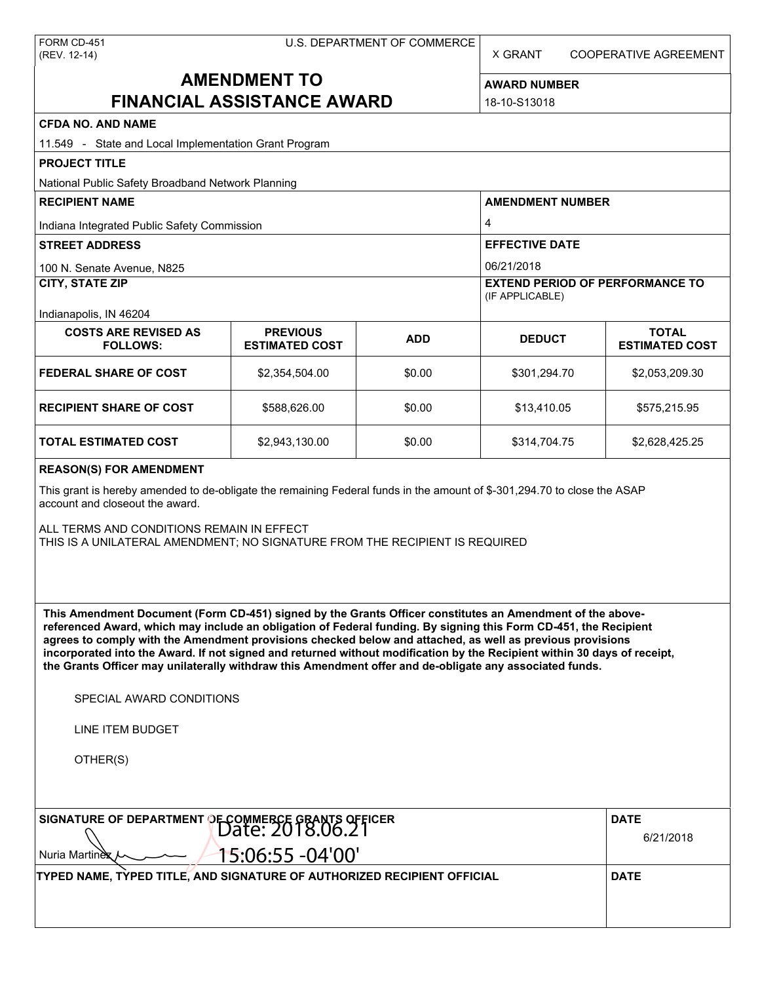| FORM CD-451  |
|--------------|
| (REV. 12-14) |

X GRANT COOPERATIVE AGREEMENT

# **AMENDMENT TO FINANCIAL ASSISTANCE AWARD**

**AWARD NUMBER** 18-10-S13018

| <b>CFDA NO. AND NAME</b>                                                                                                                                                                                                                                                                                                                                                                                                                                                                                                                                                                                                                      |                                          |            |                                                           |                                         |  |  |
|-----------------------------------------------------------------------------------------------------------------------------------------------------------------------------------------------------------------------------------------------------------------------------------------------------------------------------------------------------------------------------------------------------------------------------------------------------------------------------------------------------------------------------------------------------------------------------------------------------------------------------------------------|------------------------------------------|------------|-----------------------------------------------------------|-----------------------------------------|--|--|
| 11.549 - State and Local Implementation Grant Program                                                                                                                                                                                                                                                                                                                                                                                                                                                                                                                                                                                         |                                          |            |                                                           |                                         |  |  |
| <b>PROJECT TITLE</b>                                                                                                                                                                                                                                                                                                                                                                                                                                                                                                                                                                                                                          |                                          |            |                                                           |                                         |  |  |
| National Public Safety Broadband Network Planning                                                                                                                                                                                                                                                                                                                                                                                                                                                                                                                                                                                             |                                          |            |                                                           |                                         |  |  |
| <b>RECIPIENT NAME</b>                                                                                                                                                                                                                                                                                                                                                                                                                                                                                                                                                                                                                         |                                          |            | <b>AMENDMENT NUMBER</b>                                   |                                         |  |  |
| Indiana Integrated Public Safety Commission                                                                                                                                                                                                                                                                                                                                                                                                                                                                                                                                                                                                   |                                          |            | 4                                                         |                                         |  |  |
| <b>STREET ADDRESS</b>                                                                                                                                                                                                                                                                                                                                                                                                                                                                                                                                                                                                                         |                                          |            | <b>EFFECTIVE DATE</b>                                     |                                         |  |  |
| 100 N. Senate Avenue, N825                                                                                                                                                                                                                                                                                                                                                                                                                                                                                                                                                                                                                    |                                          |            | 06/21/2018                                                |                                         |  |  |
| <b>CITY, STATE ZIP</b>                                                                                                                                                                                                                                                                                                                                                                                                                                                                                                                                                                                                                        |                                          |            | <b>EXTEND PERIOD OF PERFORMANCE TO</b><br>(IF APPLICABLE) |                                         |  |  |
| Indianapolis, IN 46204<br><b>COSTS ARE REVISED AS</b><br><b>FOLLOWS:</b>                                                                                                                                                                                                                                                                                                                                                                                                                                                                                                                                                                      | <b>PREVIOUS</b><br><b>ESTIMATED COST</b> | <b>ADD</b> | <b>DEDUCT</b>                                             | <b>TOTAL</b><br><b>ESTIMATED COST</b>   |  |  |
| <b>FEDERAL SHARE OF COST</b>                                                                                                                                                                                                                                                                                                                                                                                                                                                                                                                                                                                                                  | \$2,354,504.00                           | \$0.00     | \$301,294.70                                              | \$2,053,209.30                          |  |  |
| <b>RECIPIENT SHARE OF COST</b>                                                                                                                                                                                                                                                                                                                                                                                                                                                                                                                                                                                                                | \$588,626.00                             | \$0.00     | \$13,410.05                                               | \$575,215.95                            |  |  |
| TOTAL ESTIMATED COST                                                                                                                                                                                                                                                                                                                                                                                                                                                                                                                                                                                                                          | \$2,943,130.00                           | \$0.00     | \$314,704.75                                              | \$2,628,425.25                          |  |  |
| <b>REASON(S) FOR AMENDMENT</b><br>This grant is hereby amended to de-obligate the remaining Federal funds in the amount of \$-301,294.70 to close the ASAP<br>account and closeout the award.<br>ALL TERMS AND CONDITIONS REMAIN IN EFFECT<br>THIS IS A UNILATERAL AMENDMENT; NO SIGNATURE FROM THE RECIPIENT IS REQUIRED                                                                                                                                                                                                                                                                                                                     |                                          |            |                                                           |                                         |  |  |
| This Amendment Document (Form CD-451) signed by the Grants Officer constitutes an Amendment of the above-<br>referenced Award, which may include an obligation of Federal funding. By signing this Form CD-451, the Recipient<br>agrees to comply with the Amendment provisions checked below and attached, as well as previous provisions<br>incorporated into the Award. If not signed and returned without modification by the Recipient within 30 days of receipt,<br>the Grants Officer may unilaterally withdraw this Amendment offer and de-obligate any associated funds.<br>SPECIAL AWARD CONDITIONS<br>LINE ITEM BUDGET<br>OTHER(S) |                                          |            |                                                           |                                         |  |  |
| SIGNATURE OF DEPARTMENT OF COMMERCE GRANTS OFFICER<br>Nuria Martinex<br>TYPED NAME, TYPED TITLE, AND SIGNATURE OF AUTHORIZED RECIPIENT OFFICIAL                                                                                                                                                                                                                                                                                                                                                                                                                                                                                               | 15:06:55 -04'00'                         |            |                                                           | <b>DATE</b><br>6/21/2018<br><b>DATE</b> |  |  |